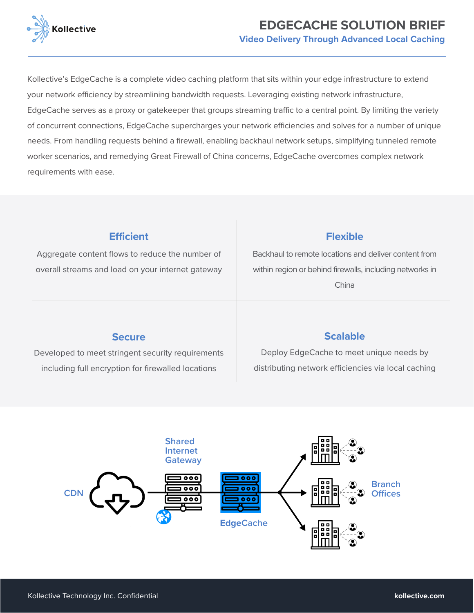

# **EDGECACHE SOLUTION BRIEF Video Delivery Through Advanced Local Caching**

Kollective's EdgeCache is a complete video caching platform that sits within your edge infrastructure to extend your network efficiency by streamlining bandwidth requests. Leveraging existing network infrastructure, EdgeCache serves as a proxy or gatekeeper that groups streaming traffic to a central point. By limiting the variety of concurrent connections, EdgeCache supercharges your network efficiencies and solves for a number of unique needs. From handling requests behind a firewall, enabling backhaul network setups, simplifying tunneled remote worker scenarios, and remedying Great Firewall of China concerns, EdgeCache overcomes complex network requirements with ease.

### **Efficient**

Aggregate content flows to reduce the number of overall streams and load on your internet gateway

#### **Flexible**

Backhaul to remote locations and deliver content from within region or behind firewalls, including networks in China

#### **Secure**

Developed to meet stringent security requirements including full encryption for firewalled locations

# **Scalable**

Deploy EdgeCache to meet unique needs by distributing network efficiencies via local caching